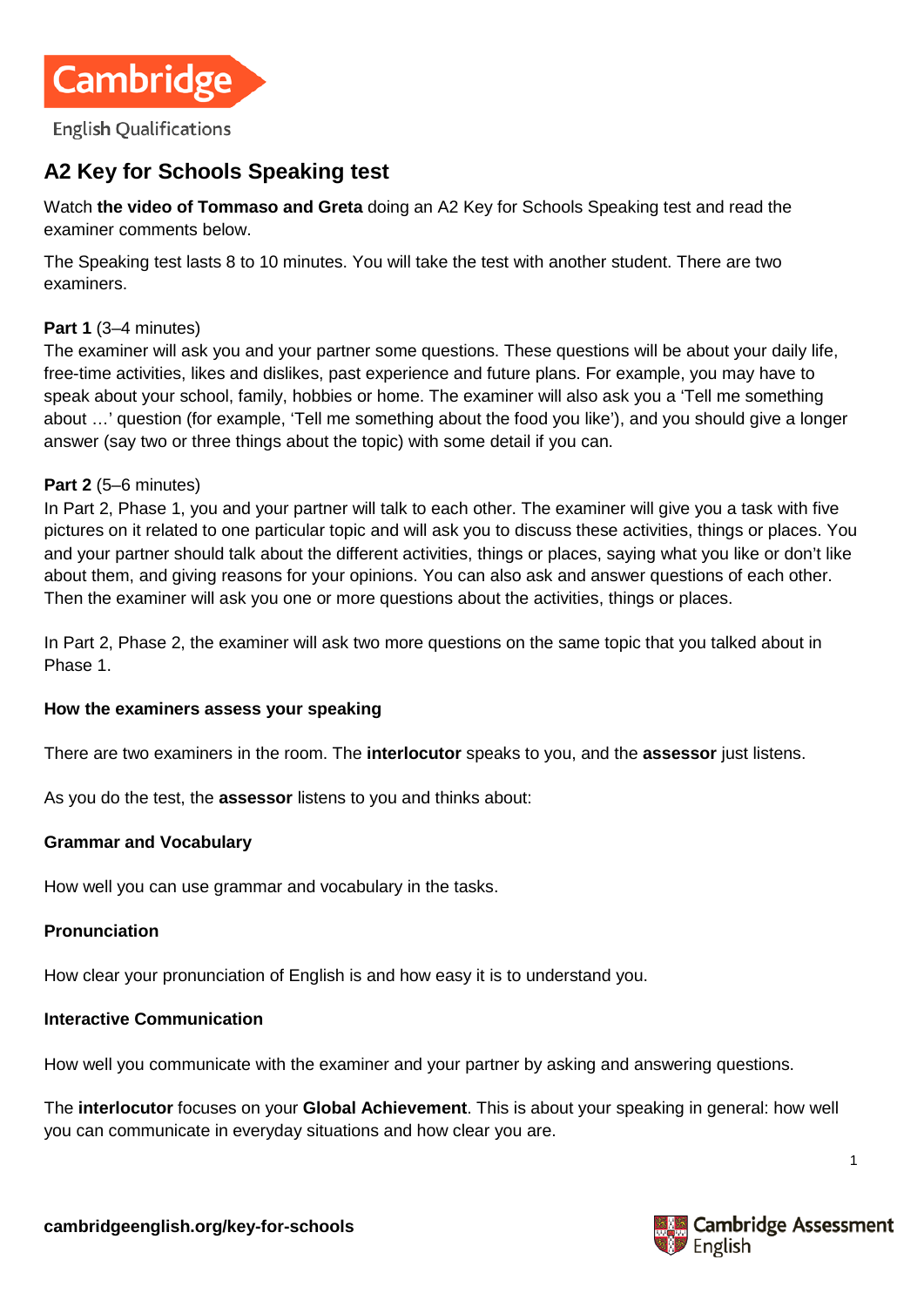

# **A2 Key for Schools Speaking test**

Watch **[the video of Tommaso and Greta](https://www.youtube.com/watch?v=dNiCwVR6dNU)** doing an A2 Key for Schools Speaking test and read the examiner comments below.

The Speaking test lasts 8 to 10 minutes. You will take the test with another student. There are two examiners.

## **Part 1** (3–4 minutes)

The examiner will ask you and your partner some questions. These questions will be about your daily life, free-time activities, likes and dislikes, past experience and future plans. For example, you may have to speak about your school, family, hobbies or home. The examiner will also ask you a 'Tell me something about …' question (for example, 'Tell me something about the food you like'), and you should give a longer answer (say two or three things about the topic) with some detail if you can.

#### **Part 2** (5–6 minutes)

In Part 2, Phase 1, you and your partner will talk to each other. The examiner will give you a task with five pictures on it related to one particular topic and will ask you to discuss these activities, things or places. You and your partner should talk about the different activities, things or places, saying what you like or don't like about them, and giving reasons for your opinions. You can also ask and answer questions of each other. Then the examiner will ask you one or more questions about the activities, things or places.

In Part 2, Phase 2, the examiner will ask two more questions on the same topic that you talked about in Phase 1.

#### **How the examiners assess your speaking**

There are two examiners in the room. The **interlocutor** speaks to you, and the **assessor** just listens.

As you do the test, the **assessor** listens to you and thinks about:

#### **Grammar and Vocabulary**

How well you can use grammar and vocabulary in the tasks.

#### **Pronunciation**

How clear your pronunciation of English is and how easy it is to understand you.

## **Interactive Communication**

How well you communicate with the examiner and your partner by asking and answering questions.

The **interlocutor** focuses on your **Global Achievement**. This is about your speaking in general: how well you can communicate in everyday situations and how clear you are.



1

**cambridgeenglish.org/key-for-schools**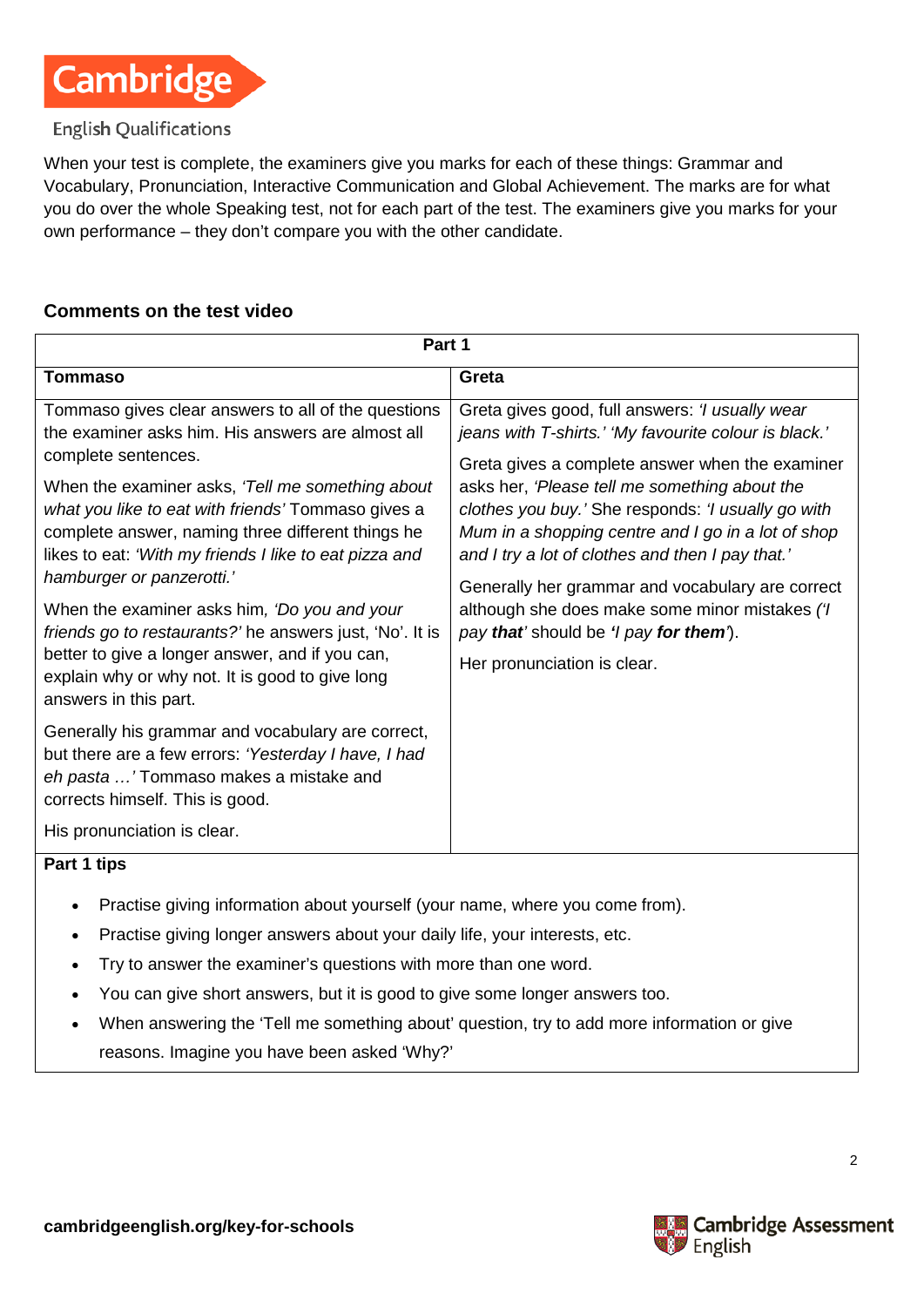

## **English Qualifications**

When your test is complete, the examiners give you marks for each of these things: Grammar and Vocabulary, Pronunciation, Interactive Communication and Global Achievement. The marks are for what you do over the whole Speaking test, not for each part of the test. The examiners give you marks for your own performance – they don't compare you with the other candidate.

## **Comments on the test video**

| Part 1                                                                                                                                                                                                                                                                                                                                                                                                                                                                                                                                                                                                                           |                                                                                                                                                                                                                                                                                                                                                                                                                                                                                                                                                             |  |  |
|----------------------------------------------------------------------------------------------------------------------------------------------------------------------------------------------------------------------------------------------------------------------------------------------------------------------------------------------------------------------------------------------------------------------------------------------------------------------------------------------------------------------------------------------------------------------------------------------------------------------------------|-------------------------------------------------------------------------------------------------------------------------------------------------------------------------------------------------------------------------------------------------------------------------------------------------------------------------------------------------------------------------------------------------------------------------------------------------------------------------------------------------------------------------------------------------------------|--|--|
| <b>Tommaso</b>                                                                                                                                                                                                                                                                                                                                                                                                                                                                                                                                                                                                                   | Greta                                                                                                                                                                                                                                                                                                                                                                                                                                                                                                                                                       |  |  |
| Tommaso gives clear answers to all of the questions<br>the examiner asks him. His answers are almost all<br>complete sentences.<br>When the examiner asks, 'Tell me something about<br>what you like to eat with friends' Tommaso gives a<br>complete answer, naming three different things he<br>likes to eat: 'With my friends I like to eat pizza and<br>hamburger or panzerotti.'<br>When the examiner asks him, 'Do you and your<br>friends go to restaurants?' he answers just, 'No'. It is<br>better to give a longer answer, and if you can,<br>explain why or why not. It is good to give long<br>answers in this part. | Greta gives good, full answers: 'I usually wear<br>jeans with T-shirts.' 'My favourite colour is black.'<br>Greta gives a complete answer when the examiner<br>asks her, 'Please tell me something about the<br>clothes you buy.' She responds: 'I usually go with<br>Mum in a shopping centre and I go in a lot of shop<br>and I try a lot of clothes and then I pay that.'<br>Generally her grammar and vocabulary are correct<br>although she does make some minor mistakes ('I<br>pay that' should be 'l pay for them').<br>Her pronunciation is clear. |  |  |
| Generally his grammar and vocabulary are correct,<br>but there are a few errors: 'Yesterday I have, I had<br>eh pasta ' Tommaso makes a mistake and<br>corrects himself. This is good.<br>His pronunciation is clear.                                                                                                                                                                                                                                                                                                                                                                                                            |                                                                                                                                                                                                                                                                                                                                                                                                                                                                                                                                                             |  |  |
|                                                                                                                                                                                                                                                                                                                                                                                                                                                                                                                                                                                                                                  |                                                                                                                                                                                                                                                                                                                                                                                                                                                                                                                                                             |  |  |

#### **Part 1 tips**

- Practise giving information about yourself (your name, where you come from).
- Practise giving longer answers about your daily life, your interests, etc.
- Try to answer the examiner's questions with more than one word.
- You can give short answers, but it is good to give some longer answers too.
- When answering the 'Tell me something about' question, try to add more information or give reasons. Imagine you have been asked 'Why?'



2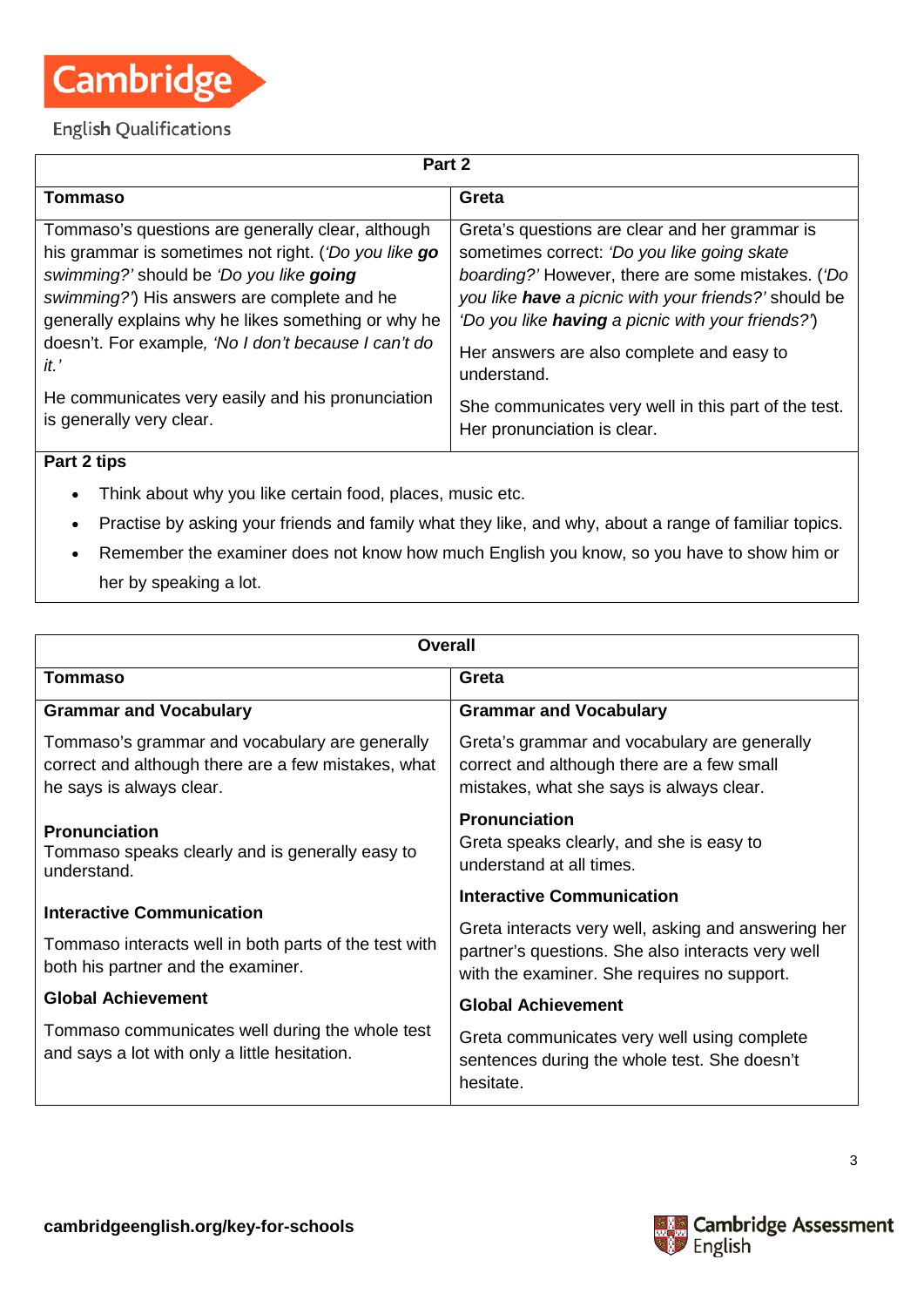

## **English Qualifications**

| Part 2                                               |                                                          |  |  |
|------------------------------------------------------|----------------------------------------------------------|--|--|
| Tommaso                                              | Greta                                                    |  |  |
| Tommaso's questions are generally clear, although    | Greta's questions are clear and her grammar is           |  |  |
| his grammar is sometimes not right. ('Do you like go | sometimes correct: 'Do you like going skate              |  |  |
| swimming?' should be 'Do you like going              | boarding?' However, there are some mistakes. ('Do        |  |  |
| swimming?') His answers are complete and he          | you like have a picnic with your friends?' should be     |  |  |
| generally explains why he likes something or why he  | 'Do you like <b>having</b> a picnic with your friends?') |  |  |
| doesn't. For example, 'No I don't because I can't do | Her answers are also complete and easy to                |  |  |
| it'                                                  | understand.                                              |  |  |
| He communicates very easily and his pronunciation    | She communicates very well in this part of the test.     |  |  |
| is generally very clear.                             | Her pronunciation is clear.                              |  |  |

## **Part 2 tips**

- Think about why you like certain food, places, music etc.
- Practise by asking your friends and family what they like, and why, about a range of familiar topics.
- Remember the examiner does not know how much English you know, so you have to show him or her by speaking a lot.

| Overall                                                                                                                           |                                                                                                                                                         |  |
|-----------------------------------------------------------------------------------------------------------------------------------|---------------------------------------------------------------------------------------------------------------------------------------------------------|--|
| Tommaso                                                                                                                           | Greta                                                                                                                                                   |  |
| <b>Grammar and Vocabulary</b>                                                                                                     | <b>Grammar and Vocabulary</b>                                                                                                                           |  |
| Tommaso's grammar and vocabulary are generally<br>correct and although there are a few mistakes, what<br>he says is always clear. | Greta's grammar and vocabulary are generally<br>correct and although there are a few small<br>mistakes, what she says is always clear.                  |  |
| <b>Pronunciation</b><br>Tommaso speaks clearly and is generally easy to<br>understand.                                            | <b>Pronunciation</b><br>Greta speaks clearly, and she is easy to<br>understand at all times.                                                            |  |
| <b>Interactive Communication</b><br>Tommaso interacts well in both parts of the test with<br>both his partner and the examiner.   | <b>Interactive Communication</b>                                                                                                                        |  |
|                                                                                                                                   | Greta interacts very well, asking and answering her<br>partner's questions. She also interacts very well<br>with the examiner. She requires no support. |  |
| <b>Global Achievement</b>                                                                                                         | <b>Global Achievement</b>                                                                                                                               |  |
| Tommaso communicates well during the whole test<br>and says a lot with only a little hesitation.                                  | Greta communicates very well using complete<br>sentences during the whole test. She doesn't<br>hesitate.                                                |  |